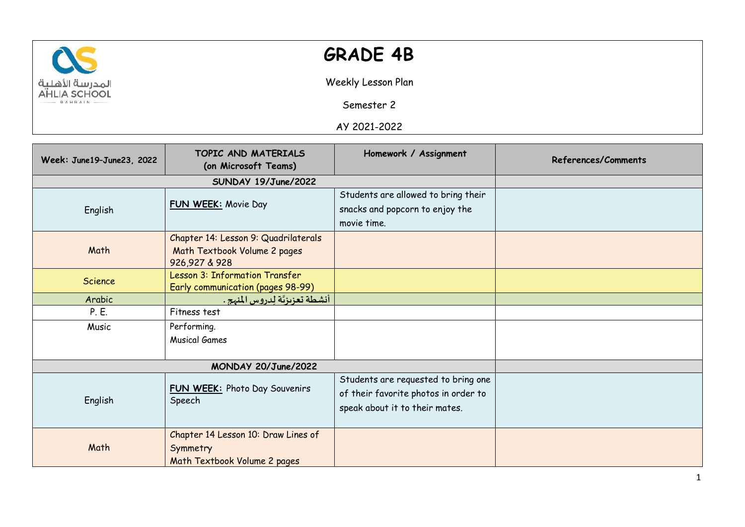

## **GRADE 4B**

Weekly Lesson Plan

Semester 2

AY 2021-2022

| Week: June19-June23, 2022 | TOPIC AND MATERIALS<br>(on Microsoft Teams)                                           | Homework / Assignment                                                                                         | References/Comments |
|---------------------------|---------------------------------------------------------------------------------------|---------------------------------------------------------------------------------------------------------------|---------------------|
|                           | SUNDAY 19/June/2022                                                                   |                                                                                                               |                     |
| English                   | FUN WEEK: Movie Day                                                                   | Students are allowed to bring their<br>snacks and popcorn to enjoy the<br>movie time.                         |                     |
| Math                      | Chapter 14: Lesson 9: Quadrilaterals<br>Math Textbook Volume 2 pages<br>926,927 & 928 |                                                                                                               |                     |
| Science                   | Lesson 3: Information Transfer<br>Early communication (pages 98-99)                   |                                                                                                               |                     |
| Arabic                    | أنشطة تعزيزتّة لدروس المنهج .                                                         |                                                                                                               |                     |
| P. E.                     | Fitness test                                                                          |                                                                                                               |                     |
| Music                     | Performing.<br><b>Musical Games</b>                                                   |                                                                                                               |                     |
| MONDAY 20/June/2022       |                                                                                       |                                                                                                               |                     |
| English                   | FUN WEEK: Photo Day Souvenirs<br>Speech                                               | Students are requested to bring one<br>of their favorite photos in order to<br>speak about it to their mates. |                     |
| Math                      | Chapter 14 Lesson 10: Draw Lines of<br>Symmetry<br>Math Textbook Volume 2 pages       |                                                                                                               |                     |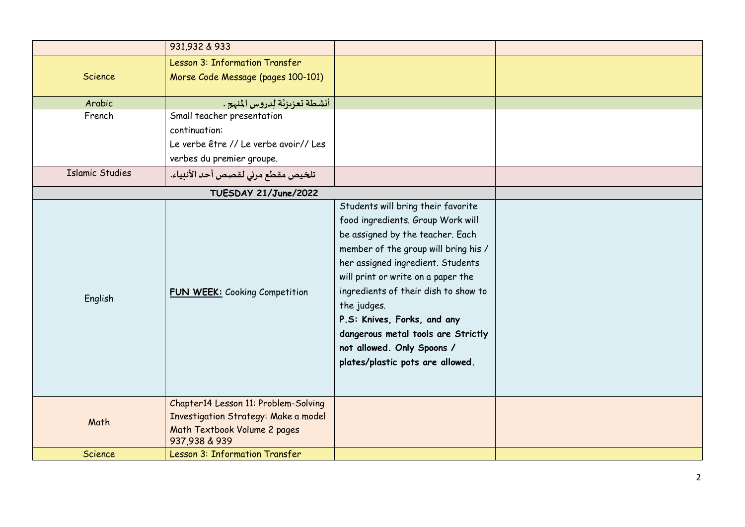|                        | 931,932 & 933                                                                                                                 |                                                                                                                                                                                                                                                                                                                                                                                                                              |  |
|------------------------|-------------------------------------------------------------------------------------------------------------------------------|------------------------------------------------------------------------------------------------------------------------------------------------------------------------------------------------------------------------------------------------------------------------------------------------------------------------------------------------------------------------------------------------------------------------------|--|
|                        | <b>Lesson 3: Information Transfer</b>                                                                                         |                                                                                                                                                                                                                                                                                                                                                                                                                              |  |
| Science                | Morse Code Message (pages 100-101)                                                                                            |                                                                                                                                                                                                                                                                                                                                                                                                                              |  |
|                        |                                                                                                                               |                                                                                                                                                                                                                                                                                                                                                                                                                              |  |
| Arabic                 | أنشطة تعزيزتَة لدروس المنهج .                                                                                                 |                                                                                                                                                                                                                                                                                                                                                                                                                              |  |
| French                 | Small teacher presentation                                                                                                    |                                                                                                                                                                                                                                                                                                                                                                                                                              |  |
|                        | continuation:                                                                                                                 |                                                                                                                                                                                                                                                                                                                                                                                                                              |  |
|                        | Le verbe être // Le verbe avoir// Les                                                                                         |                                                                                                                                                                                                                                                                                                                                                                                                                              |  |
|                        | verbes du premier groupe.                                                                                                     |                                                                                                                                                                                                                                                                                                                                                                                                                              |  |
| <b>Islamic Studies</b> | تلخيص مقطع مرئي لقصص أحد الأنبياء.                                                                                            |                                                                                                                                                                                                                                                                                                                                                                                                                              |  |
| TUESDAY 21/June/2022   |                                                                                                                               |                                                                                                                                                                                                                                                                                                                                                                                                                              |  |
| English                | <b>FUN WEEK:</b> Cooking Competition                                                                                          | Students will bring their favorite<br>food ingredients. Group Work will<br>be assigned by the teacher. Each<br>member of the group will bring his /<br>her assigned ingredient. Students<br>will print or write on a paper the<br>ingredients of their dish to show to<br>the judges.<br>P.S: Knives, Forks, and any<br>dangerous metal tools are Strictly<br>not allowed. Only Spoons /<br>plates/plastic pots are allowed. |  |
| Math                   | Chapter14 Lesson 11: Problem-Solving<br>Investigation Strategy: Make a model<br>Math Textbook Volume 2 pages<br>937,938 & 939 |                                                                                                                                                                                                                                                                                                                                                                                                                              |  |
| Science                | Lesson 3: Information Transfer                                                                                                |                                                                                                                                                                                                                                                                                                                                                                                                                              |  |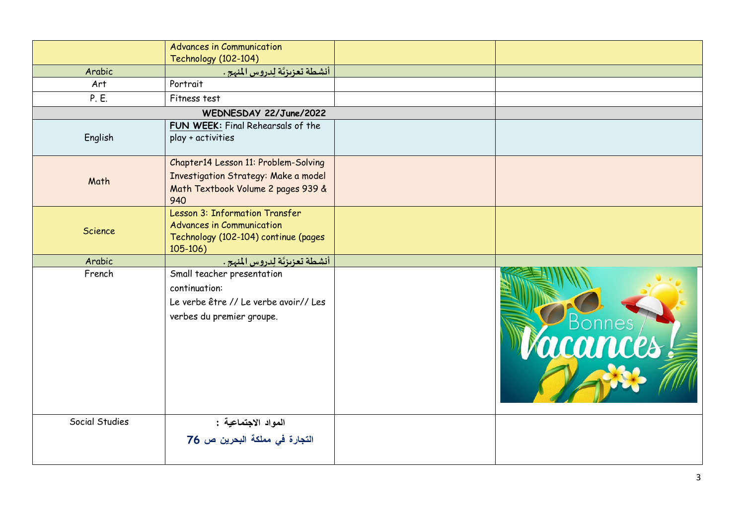|                | <b>Advances in Communication</b>                                                                                          |          |
|----------------|---------------------------------------------------------------------------------------------------------------------------|----------|
|                | <b>Technology (102-104)</b>                                                                                               |          |
| Arabic         | أنشطة تعزيزتَة لدروس المنهج .                                                                                             |          |
| Art            | Portrait                                                                                                                  |          |
| P. E.          | Fitness test                                                                                                              |          |
|                | WEDNESDAY 22/June/2022                                                                                                    |          |
| English        | FUN WEEK: Final Rehearsals of the<br>play + activities                                                                    |          |
| Math           | Chapter14 Lesson 11: Problem-Solving<br>Investigation Strategy: Make a model<br>Math Textbook Volume 2 pages 939 &<br>940 |          |
| Science        | Lesson 3: Information Transfer<br><b>Advances in Communication</b><br>Technology (102-104) continue (pages<br>$105 - 106$ |          |
| Arabic         | أنشطة تعزيزيَّة لِدروس المنهج .                                                                                           |          |
| French         | Small teacher presentation<br>continuation:<br>Le verbe être // Le verbe avoir// Les<br>verbes du premier groupe.         | C Bonnes |
| Social Studies | المواد الاجتماعية :<br>التجارة في مملكة البحرين ص 76                                                                      |          |